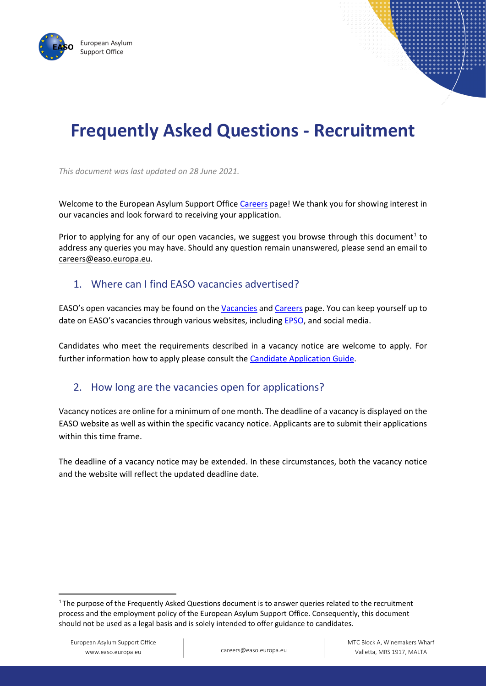



# **Frequently Asked Questions - Recruitment**

*This document was last updated on 28 June 2021.*

Welcome to the European Asylum Support Office [Careers](https://careers.easo.europa.eu/Default.aspx) page! We thank you for showing interest in our vacancies and look forward to receiving your application.

Prior to applying for any of our open vacancies, we suggest you browse through this document<sup>[1](#page-0-0)</sup> to address any queries you may have. Should any question remain unanswered, please send an email to [careers@easo.europa.eu.](mailto:careers@easo.europa.eu)

#### 1. Where can I find EASO vacancies advertised?

EASO's open vacancies may be found on the [Vacancies](https://www.easo.europa.eu/about-us/vacancies) and [Careers](https://careers.easo.europa.eu/Default.aspx) page. You can keep yourself up to date on EASO's vacancies through various websites, includin[g EPSO,](https://epso.europa.eu/job-opportunities_en) and social media.

Candidates who meet the requirements described in a vacancy notice are welcome to apply. For further information how to apply please consult the [Candidate Application Guide.](https://careers.easo.europa.eu/Candidate%20Application%20Guide.pdf)

#### 2. How long are the vacancies open for applications?

Vacancy notices are online for a minimum of one month. The deadline of a vacancy is displayed on the EASO website as well as within the specific vacancy notice. Applicants are to submit their applications within this time frame.

The deadline of a vacancy notice may be extended. In these circumstances, both the vacancy notice and the website will reflect the updated deadline date.

<span id="page-0-0"></span><sup>&</sup>lt;sup>1</sup> The purpose of the Frequently Asked Questions document is to answer queries related to the recruitment process and the employment policy of the European Asylum Support Office. Consequently, this document should not be used as a legal basis and is solely intended to offer guidance to candidates.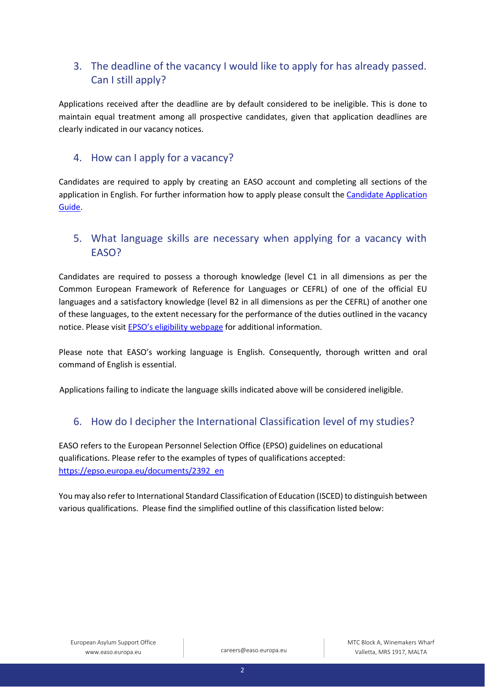# 3. The deadline of the vacancy I would like to apply for has already passed. Can I still apply?

Applications received after the deadline are by default considered to be ineligible. This is done to maintain equal treatment among all prospective candidates, given that application deadlines are clearly indicated in our vacancy notices.

#### 4. How can I apply for a vacancy?

Candidates are required to apply by creating an EASO account and completing all sections of the application in English. For further information how to apply please consult th[e Candidate Application](https://careers.easo.europa.eu/Candidate%20Application%20Guide.pdf)  [Guide.](https://careers.easo.europa.eu/Candidate%20Application%20Guide.pdf)

## 5. What language skills are necessary when applying for a vacancy with EASO?

Candidates are required to possess a thorough knowledge (level C1 in all dimensions as per the Common European Framework of Reference for Languages or CEFRL) of one of the official EU languages and a satisfactory knowledge (level B2 in all dimensions as per the CEFRL) of another one of these languages, to the extent necessary for the performance of the duties outlined in the vacancy notice. Please visit [EPSO's eligibility webpage](https://epso.europa.eu/how-to-apply/eligibility_en) for additional information.

Please note that EASO's working language is English. Consequently, thorough written and oral command of English is essential.

Applications failing to indicate the language skills indicated above will be considered ineligible.

#### 6. How do I decipher the International Classification level of my studies?

EASO refers to the European Personnel Selection Office (EPSO) guidelines on educational qualifications. Please refer to the examples of types of qualifications accepted: [https://epso.europa.eu/documents/2392\\_en](https://epso.europa.eu/documents/2392_en)

You may also refer to International Standard Classification of Education (ISCED) to distinguish between various qualifications. Please find the simplified outline of this classification listed below: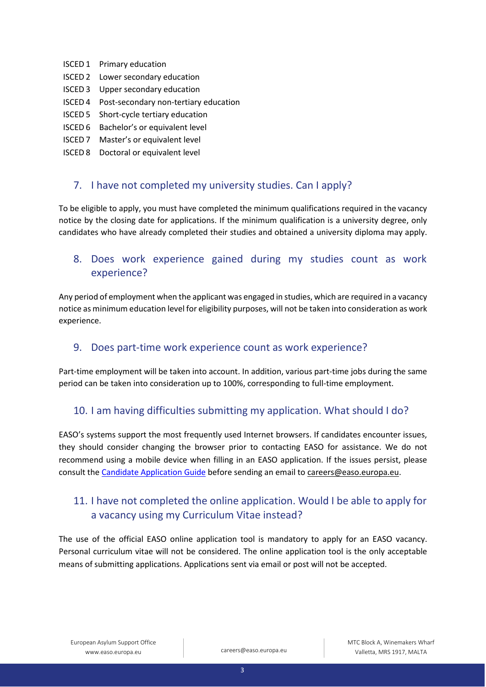- ISCED 1 Primary education
- ISCED 2 Lower secondary education
- ISCED 3 Upper secondary education
- ISCED 4 Post-secondary non-tertiary education
- ISCED 5 Short-cycle tertiary education
- ISCED 6 Bachelor's or equivalent level
- ISCED 7 Master's or equivalent level
- ISCED 8 Doctoral or equivalent level

#### 7. I have not completed my university studies. Can I apply?

To be eligible to apply, you must have completed the minimum qualifications required in the vacancy notice by the closing date for applications. If the minimum qualification is a university degree, only candidates who have already completed their studies and obtained a university diploma may apply.

### 8. Does work experience gained during my studies count as work experience?

Any period of employment when the applicant was engaged in studies, which are required in a vacancy notice as minimum education level for eligibility purposes, will not be taken into consideration as work experience.

#### 9. Does part-time work experience count as work experience?

Part-time employment will be taken into account. In addition, various part-time jobs during the same period can be taken into consideration up to 100%, corresponding to full-time employment.

#### 10. I am having difficulties submitting my application. What should I do?

EASO's systems support the most frequently used Internet browsers. If candidates encounter issues, they should consider changing the browser prior to contacting EASO for assistance. We do not recommend using a mobile device when filling in an EASO application. If the issues persist, please consult the [Candidate Application Guide](https://careers.easo.europa.eu/Candidate%20Application%20Guide.pdf) before sending an email t[o careers@easo.europa.eu.](mailto:careers@easo.europa.eu)

## 11. I have not completed the online application. Would I be able to apply for a vacancy using my Curriculum Vitae instead?

The use of the official EASO online application tool is mandatory to apply for an EASO vacancy. Personal curriculum vitae will not be considered. The online application tool is the only acceptable means of submitting applications. Applications sent via email or post will not be accepted.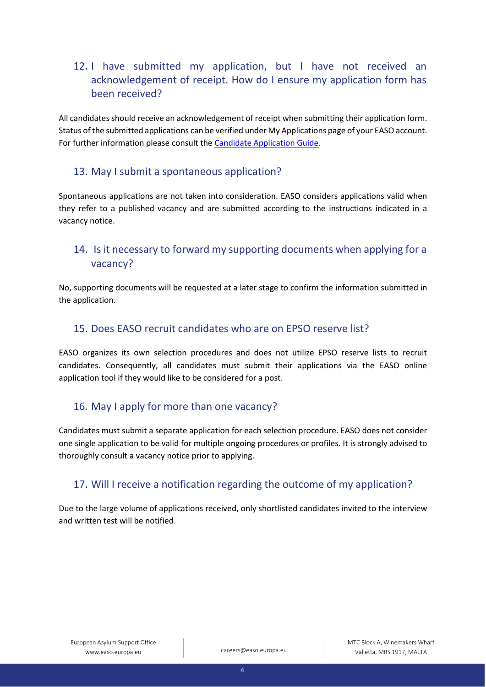# 12. I have submitted my application, but I have not received an acknowledgement of receipt. How do I ensure my application form has been received?

All candidates should receive an acknowledgement of receipt when submitting their application form. Status of the submitted applications can be verified under My Applications page of your EASO account. For further information please consult the [Candidate Application Guide.](https://careers.easo.europa.eu/Candidate%20Application%20Guide.pdf)

#### 13. May I submit a spontaneous application?

Spontaneous applications are not taken into consideration. EASO considers applications valid when they refer to a published vacancy and are submitted according to the instructions indicated in a vacancy notice.

# 14. Is it necessary to forward my supporting documents when applying for a vacancy?

No, supporting documents will be requested at a later stage to confirm the information submitted in the application.

### 15. Does EASO recruit candidates who are on EPSO reserve list?

EASO organizes its own selection procedures and does not utilize EPSO reserve lists to recruit candidates. Consequently, all candidates must submit their applications via the EASO online application tool if they would like to be considered for a post.

## 16. May I apply for more than one vacancy?

Candidates must submit a separate application for each selection procedure. EASO does not consider one single application to be valid for multiple ongoing procedures or profiles. It is strongly advised to thoroughly consult a vacancy notice prior to applying.

# 17. Will I receive a notification regarding the outcome of my application?

Due to the large volume of applications received, only shortlisted candidates invited to the interview and written test will be notified.

4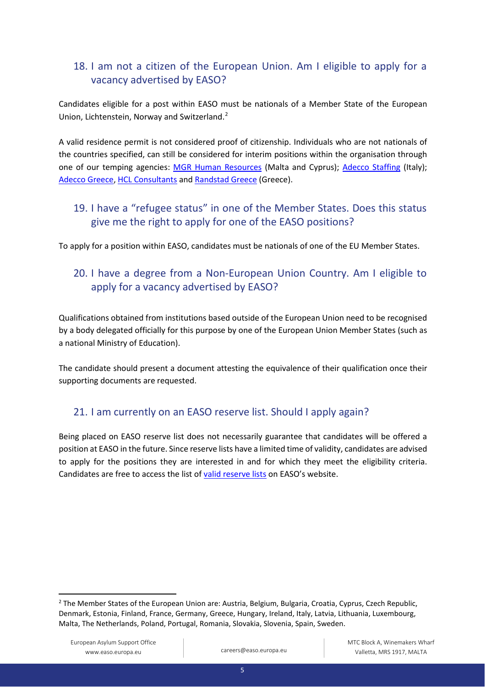# 18. I am not a citizen of the European Union. Am I eligible to apply for a vacancy advertised by EASO?

Candidates eligible for a post within EASO must be nationals of a Member State of the European Union, Lichtenstein, Norway and Switzerland.<sup>[2](#page-4-0)</sup>

A valid residence permit is not considered proof of citizenship. Individuals who are not nationals of the countries specified, can still be considered for interim positions within the organisation through one of our temping agencies: [MGR Human Resources](https://mgr-hr.com/vacancies/) (Malta and Cyprus); [Adecco Staffing](https://www.adecco.it/offerte-lavoro?display=5) (Italy); [Adecco Greece,](https://www.adecco.gr/en/) [HCL Consultants](http://hcl-consultants.com/) an[d Randstad](https://www.randstad.gr/en/) Greece (Greece).

# 19. I have a "refugee status" in one of the Member States. Does this status give me the right to apply for one of the EASO positions?

To apply for a position within EASO, candidates must be nationals of one of the EU Member States.

# 20. I have a degree from a Non-European Union Country. Am I eligible to apply for a vacancy advertised by EASO?

Qualifications obtained from institutions based outside of the European Union need to be recognised by a body delegated officially for this purpose by one of the European Union Member States (such as a national Ministry of Education).

The candidate should present a document attesting the equivalence of their qualification once their supporting documents are requested.

## 21. I am currently on an EASO reserve list. Should I apply again?

Being placed on EASO reserve list does not necessarily guarantee that candidates will be offered a position at EASO in the future. Since reserve lists have a limited time of validity, candidates are advised to apply for the positions they are interested in and for which they meet the eligibility criteria. Candidates are free to access the list o[f valid reserve lists](https://easo.europa.eu/sites/default/files/ED-Decision-on-reserve-lists-for-publication.pdf) on EASO's website.

<span id="page-4-0"></span><sup>&</sup>lt;sup>2</sup> The Member States of the European Union are: Austria, Belgium, Bulgaria, Croatia, Cyprus, Czech Republic, Denmark, Estonia, Finland, France, Germany, Greece, Hungary, Ireland, Italy, Latvia, Lithuania, Luxembourg, Malta, The Netherlands, Poland, Portugal, Romania, Slovakia, Slovenia, Spain, Sweden.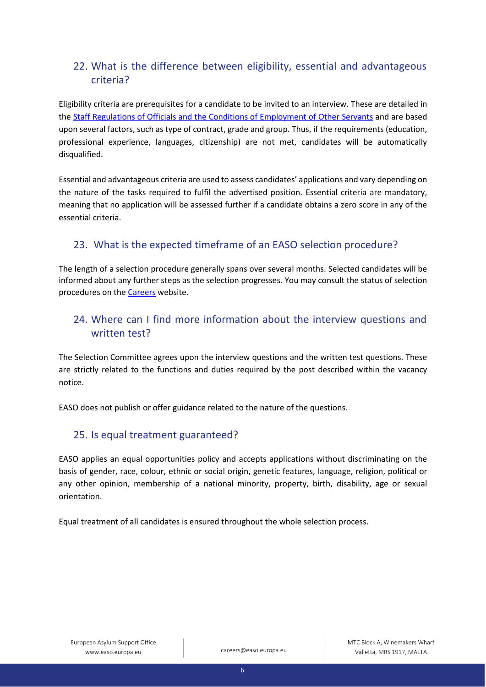# 22. What is the difference between eligibility, essential and advantageous criteria?

Eligibility criteria are prerequisites for a candidate to be invited to an interview. These are detailed in the [Staff Regulations of Officials and the Conditions of Employment of Other Servants](https://eur-lex.europa.eu/legal-content/EN/TXT/PDF/?uri=CELEX:01962R0031-20140501&from=EN) and are based upon several factors, such as type of contract, grade and group. Thus, if the requirements (education, professional experience, languages, citizenship) are not met, candidates will be automatically disqualified.

Essential and advantageous criteria are used to assess candidates' applications and vary depending on the nature of the tasks required to fulfil the advertised position. Essential criteria are mandatory, meaning that no application will be assessed further if a candidate obtains a zero score in any of the essential criteria.

# 23. What is the expected timeframe of an EASO selection procedure?

The length of a selection procedure generally spans over several months. Selected candidates will be informed about any further steps as the selection progresses. You may consult the status of selection procedures on the [Careers](https://careers.easo.europa.eu/Default.aspx) website.

# 24. Where can I find more information about the interview questions and written test?

The Selection Committee agrees upon the interview questions and the written test questions. These are strictly related to the functions and duties required by the post described within the vacancy notice.

EASO does not publish or offer guidance related to the nature of the questions.

## 25. Is equal treatment guaranteed?

EASO applies an equal opportunities policy and accepts applications without discriminating on the basis of gender, race, colour, ethnic or social origin, genetic features, language, religion, political or any other opinion, membership of a national minority, property, birth, disability, age or sexual orientation.

Equal treatment of all candidates is ensured throughout the whole selection process.